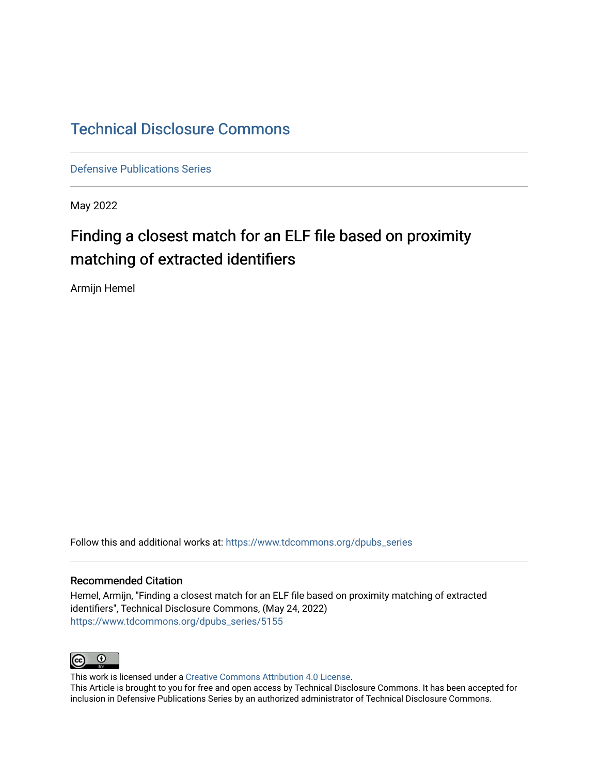#### [Technical Disclosure Commons](https://www.tdcommons.org/)

[Defensive Publications Series](https://www.tdcommons.org/dpubs_series)

May 2022

#### Finding a closest match for an ELF file based on proximity matching of extracted identifiers

Armijn Hemel

Follow this and additional works at: [https://www.tdcommons.org/dpubs\\_series](https://www.tdcommons.org/dpubs_series?utm_source=www.tdcommons.org%2Fdpubs_series%2F5155&utm_medium=PDF&utm_campaign=PDFCoverPages) 

#### Recommended Citation

Hemel, Armijn, "Finding a closest match for an ELF file based on proximity matching of extracted identifiers", Technical Disclosure Commons, (May 24, 2022) [https://www.tdcommons.org/dpubs\\_series/5155](https://www.tdcommons.org/dpubs_series/5155?utm_source=www.tdcommons.org%2Fdpubs_series%2F5155&utm_medium=PDF&utm_campaign=PDFCoverPages)



This work is licensed under a [Creative Commons Attribution 4.0 License](http://creativecommons.org/licenses/by/4.0/deed.en_US).

This Article is brought to you for free and open access by Technical Disclosure Commons. It has been accepted for inclusion in Defensive Publications Series by an authorized administrator of Technical Disclosure Commons.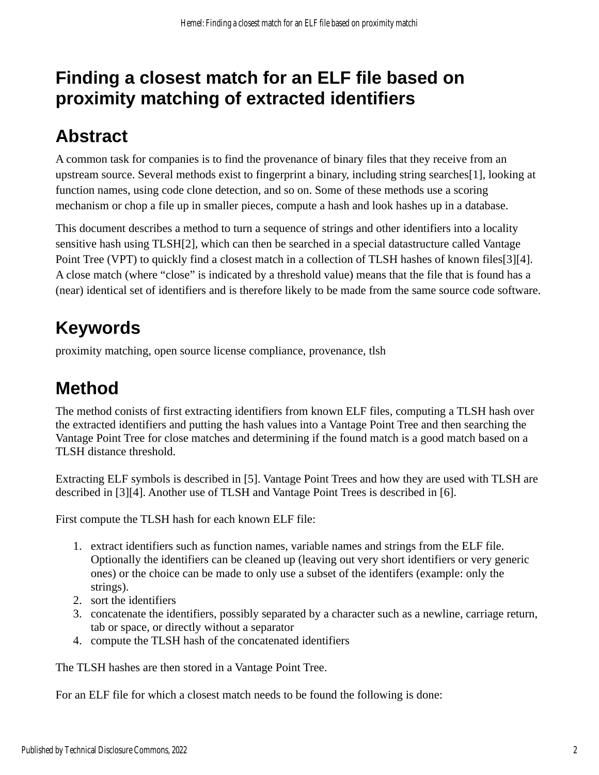### **Finding a closest match for an ELF file based on proximity matching of extracted identifiers**

# **Abstract**

A common task for companies is to find the provenance of binary files that they receive from an upstream source. Several methods exist to fingerprint a binary, including string searches[1], looking at function names, using code clone detection, and so on. Some of these methods use a scoring mechanism or chop a file up in smaller pieces, compute a hash and look hashes up in a database.

This document describes a method to turn a sequence of strings and other identifiers into a locality sensitive hash using TLSH[2], which can then be searched in a special datastructure called Vantage Point Tree (VPT) to quickly find a closest match in a collection of TLSH hashes of known files[3][4]. A close match (where "close" is indicated by a threshold value) means that the file that is found has a (near) identical set of identifiers and is therefore likely to be made from the same source code software.

### **Keywords**

proximity matching, open source license compliance, provenance, tlsh

# **Method**

The method conists of first extracting identifiers from known ELF files, computing a TLSH hash over the extracted identifiers and putting the hash values into a Vantage Point Tree and then searching the Vantage Point Tree for close matches and determining if the found match is a good match based on a TLSH distance threshold.

Extracting ELF symbols is described in [5]. Vantage Point Trees and how they are used with TLSH are described in [3][4]. Another use of TLSH and Vantage Point Trees is described in [6].

First compute the TLSH hash for each known ELF file:

- 1. extract identifiers such as function names, variable names and strings from the ELF file. Optionally the identifiers can be cleaned up (leaving out very short identifiers or very generic ones) or the choice can be made to only use a subset of the identifers (example: only the strings).
- 2. sort the identifiers
- 3. concatenate the identifiers, possibly separated by a character such as a newline, carriage return, tab or space, or directly without a separator
- 4. compute the TLSH hash of the concatenated identifiers

The TLSH hashes are then stored in a Vantage Point Tree.

For an ELF file for which a closest match needs to be found the following is done: